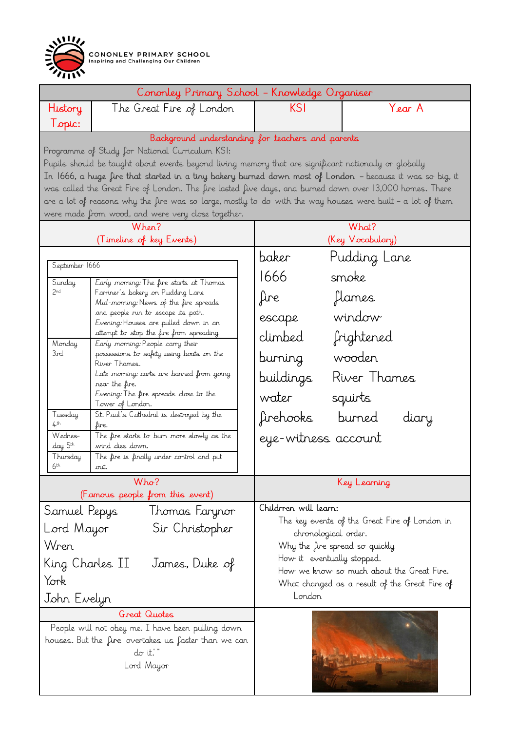

| Cononley Primary School - Knowledge Organiser                   |                                                                                                                                                          |                                                                                                                                 |                  |  |
|-----------------------------------------------------------------|----------------------------------------------------------------------------------------------------------------------------------------------------------|---------------------------------------------------------------------------------------------------------------------------------|------------------|--|
| History                                                         | The Great Fire of London                                                                                                                                 | KSI                                                                                                                             | Year A           |  |
| Topic:                                                          |                                                                                                                                                          |                                                                                                                                 |                  |  |
| Background understanding for teachers and parents               |                                                                                                                                                          |                                                                                                                                 |                  |  |
|                                                                 | Programme of Study for National Curriculum KSI:<br>Pupils should be taught about events beyond living memory that are significant nationally or globally |                                                                                                                                 |                  |  |
|                                                                 | In 1666, a huge fire that started in a tiny bakery burned down most of London - because it was so big, it                                                |                                                                                                                                 |                  |  |
|                                                                 | was called the Great Fire of London. The fire lasted five days, and burned down over 13,000 homes. There                                                 |                                                                                                                                 |                  |  |
|                                                                 | are a lot of reasons why the fire was so large, mostly to do with the way houses were built - a lot of them                                              |                                                                                                                                 |                  |  |
|                                                                 | were made from wood, and were very close together.                                                                                                       |                                                                                                                                 |                  |  |
|                                                                 | When?                                                                                                                                                    | What?                                                                                                                           |                  |  |
|                                                                 | (Timeline of key Events)                                                                                                                                 |                                                                                                                                 | (Key Vocabulary) |  |
| September 1666                                                  |                                                                                                                                                          | baker                                                                                                                           | Pudding Lane     |  |
| Sunday                                                          | Early morning: The fire starts at Thomas                                                                                                                 | 1666                                                                                                                            | smoke            |  |
| 2nd                                                             | Farriner's bakery on Pudding Lane<br>Mid-morning: News of the fire spreads                                                                               | fire                                                                                                                            | flames           |  |
|                                                                 | and people run to escape its path.<br>Evening: Houses are pulled down in an                                                                              | escape                                                                                                                          | window           |  |
|                                                                 | attempt to stop the fire from spreading                                                                                                                  | climbed                                                                                                                         | frightened       |  |
| Monday<br>3rd                                                   | Early morning: People carry their<br>possessions to safety using boats on the                                                                            |                                                                                                                                 |                  |  |
|                                                                 | River Thames.                                                                                                                                            | burning                                                                                                                         | wooden           |  |
|                                                                 | Late morning: carts are banned from going<br>near the fire.                                                                                              | buildings                                                                                                                       | River Thames     |  |
|                                                                 | Evening: The fire spreads close to the<br>Tower of London.                                                                                               | water                                                                                                                           | squirts          |  |
| Tuesday<br>4 <sup>th</sup>                                      | St. Paul's Cathedral is destroyed by the<br>fire.                                                                                                        | firehooks                                                                                                                       | burned<br>diary  |  |
| Wednes-<br>day 5th                                              | The fire starts to burn more slowly as the                                                                                                               | eye-witness account                                                                                                             |                  |  |
| Thursday                                                        | wind dies down.<br>The fire is finally under control and put                                                                                             |                                                                                                                                 |                  |  |
| 6 <sup>th</sup>                                                 | out.                                                                                                                                                     |                                                                                                                                 |                  |  |
| Who?<br>(Famous people from this event)                         |                                                                                                                                                          | Key Learning                                                                                                                    |                  |  |
| Samuel Pepys<br>Thomas Farynor                                  |                                                                                                                                                          | Children will learn:<br>The key events of the Great Fire of London in<br>chronological order.<br>Why the fire spread so quickly |                  |  |
| Sir Christopher<br>Lord Mayor                                   |                                                                                                                                                          |                                                                                                                                 |                  |  |
| Wren                                                            |                                                                                                                                                          |                                                                                                                                 |                  |  |
|                                                                 |                                                                                                                                                          | How it eventually stopped.                                                                                                      |                  |  |
| King Charles II<br>James, Duke of                               |                                                                                                                                                          | How we know so much about the Great Fire.                                                                                       |                  |  |
| York                                                            |                                                                                                                                                          | What changed as a result of the Great Fire of                                                                                   |                  |  |
| John Evelyn                                                     |                                                                                                                                                          | London                                                                                                                          |                  |  |
|                                                                 | <b>Great Quotes</b>                                                                                                                                      |                                                                                                                                 |                  |  |
|                                                                 | People will not obey me. I have been pulling down                                                                                                        |                                                                                                                                 |                  |  |
| houses. But the fire overtakes us faster than we can<br>do it." |                                                                                                                                                          |                                                                                                                                 |                  |  |
| Lord Mayor                                                      |                                                                                                                                                          |                                                                                                                                 |                  |  |
|                                                                 |                                                                                                                                                          |                                                                                                                                 |                  |  |
|                                                                 |                                                                                                                                                          |                                                                                                                                 |                  |  |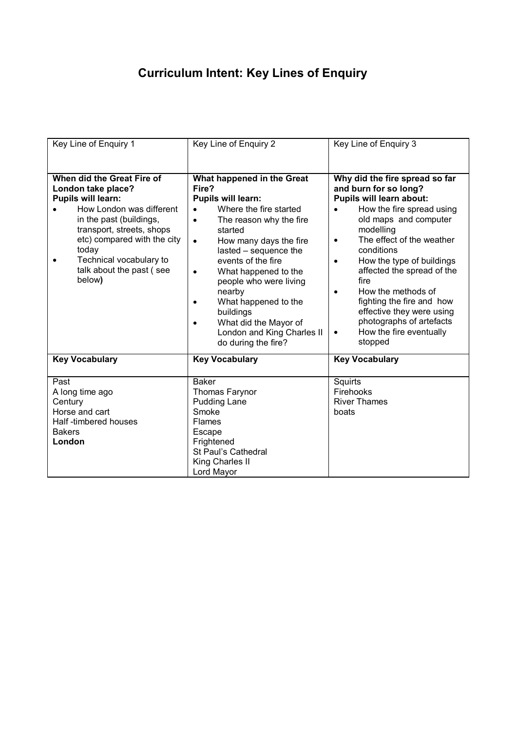## **Curriculum Intent: Key Lines of Enquiry**

| Key Line of Enguiry 1                                                                                                                                                                                                                                                      | Key Line of Enguiry 2                                                                                                                                                                                                                                                                                                                                                                                                    | Key Line of Enguiry 3                                                                                                                                                                                                                                                                                                                                                                                                                                                      |
|----------------------------------------------------------------------------------------------------------------------------------------------------------------------------------------------------------------------------------------------------------------------------|--------------------------------------------------------------------------------------------------------------------------------------------------------------------------------------------------------------------------------------------------------------------------------------------------------------------------------------------------------------------------------------------------------------------------|----------------------------------------------------------------------------------------------------------------------------------------------------------------------------------------------------------------------------------------------------------------------------------------------------------------------------------------------------------------------------------------------------------------------------------------------------------------------------|
| When did the Great Fire of<br>London take place?<br><b>Pupils will learn:</b><br>How London was different<br>in the past (buildings,<br>transport, streets, shops<br>etc) compared with the city<br>today<br>Technical vocabulary to<br>talk about the past (see<br>below) | What happened in the Great<br>Fire?<br>Pupils will learn:<br>Where the fire started<br>The reason why the fire<br>$\bullet$<br>started<br>How many days the fire<br>$\bullet$<br>lasted - sequence the<br>events of the fire<br>What happened to the<br>$\bullet$<br>people who were living<br>nearby<br>What happened to the<br>buildings<br>What did the Mayor of<br>London and King Charles II<br>do during the fire? | Why did the fire spread so far<br>and burn for so long?<br>Pupils will learn about:<br>How the fire spread using<br>old maps and computer<br>modelling<br>The effect of the weather<br>$\bullet$<br>conditions<br>How the type of buildings<br>$\bullet$<br>affected the spread of the<br>fire<br>How the methods of<br>$\bullet$<br>fighting the fire and how<br>effective they were using<br>photographs of artefacts<br>How the fire eventually<br>$\bullet$<br>stopped |
| <b>Key Vocabulary</b>                                                                                                                                                                                                                                                      | <b>Key Vocabulary</b>                                                                                                                                                                                                                                                                                                                                                                                                    | <b>Key Vocabulary</b>                                                                                                                                                                                                                                                                                                                                                                                                                                                      |
| Past<br>A long time ago<br>Century<br>Horse and cart<br>Half-timbered houses<br><b>Bakers</b><br>London                                                                                                                                                                    | <b>Baker</b><br>Thomas Farynor<br><b>Pudding Lane</b><br>Smoke<br><b>Flames</b><br>Escape<br>Frightened<br>St Paul's Cathedral<br>King Charles II<br>Lord Mayor                                                                                                                                                                                                                                                          | Squirts<br>Firehooks<br><b>River Thames</b><br>boats                                                                                                                                                                                                                                                                                                                                                                                                                       |